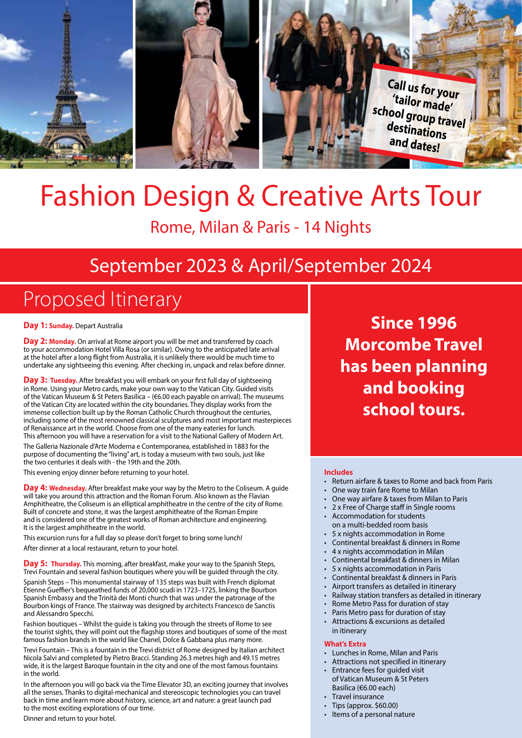

# Fashion Design & Creative Arts Tour

## Rome, Milan & Paris - 14 Nights

# September 2023 & April/September 2024

# Proposed Itinerary

**Day 1: Sunday. Depart Australia** 

**Day 2: Monday.** On arrival at Rome airport you will be met and transferred by coach to your accommodation Hotel Villa Rosa (or similar). Owing to the anticipated late arrival at the hotel after a long flight from Australia, it is unlikely there would be much time to undertake any sightseeing this evening. After checking in, unpack and relax before dinner.

Day 3: Tuesday. After breakfast you will embark on your first full day of sightseeing in Rome. Using your Metro cards, make your own way to the Vatican City. Guided visits of the Vatican Museum & St Peters Basilica – (€6.00 each payable on arrival). The museums of the Vatican City are located within the city boundaries. They display works from the immense collection built up by the Roman Catholic Church throughout the centuries, including some of the most renowned classical sculptures and most important masterpieces of Renaissance art in the world. Choose from one of the many eateries for lunch. This afternoon you will have a reservation for a visit to the National Gallery of Modern Art.

The Galleria Nazionale d'Arte Moderna e Contemporanea, established in 1883 for the purpose of documenting the "living" art, is today a museum with two souls, just like the two centuries it deals with - the 19th and the 20th.

This evening enjoy dinner before returning to your hotel.

**Day 4: Wednesday.** After breakfast make your way by the Metro to the Coliseum. A guide will take you around this attraction and the Roman Forum. Also known as the Flavian Amphitheatre, the Coliseum is an elliptical amphitheatre in the centre of the city of Rome. Built of concrete and stone, it was the largest amphitheatre of the Roman Empire and is considered one of the greatest works of Roman architecture and engineering. It is the largest amphitheatre in the world.

This excursion runs for a full day so please don't forget to bring some lunch!

After dinner at a local restaurant, return to your hotel.

**Day 5: Thursday.** This morning, after breakfast, make your way to the Spanish Steps, Trevi Fountain and several fashion boutiques where you will be guided through the city.

Spanish Steps – This monumental stairway of 135 steps was built with French diplomat Étienne Gueffier's bequeathed funds of 20,000 scudi in 1723–1725, linking the Bourbon Spanish Embassy and the Trinità dei Monti church that was under the patronage of the Bourbon kings of France. The stairway was designed by architects Francesco de Sanctis and Alessandro Specchi.

Fashion boutiques – Whilst the guide is taking you through the streets of Rome to see the tourist sights, they will point out the flagship stores and boutiques of some of the most famous fashion brands in the world like Chanel, Dolce & Gabbana plus many more.

Trevi Fountain – This is a fountain in the Trevi district of Rome designed by Italian architect Nicola Salvi and completed by Pietro Bracci. Standing 26.3 metres high and 49.15 metres wide, it is the largest Baroque fountain in the city and one of the most famous fountains in the world.

In the afternoon you will go back via the Time Elevator 3D, an exciting journey that involves all the senses. Thanks to digital-mechanical and stereoscopic technologies you can travel back in time and learn more about history, science, art and nature: a great launch pad to the most exciting explorations of our time.

Dinner and return to your hotel.

**Since 1996 Morcombe Travel has been planning and booking school tours.**

#### **Includes**

- Return airfare & taxes to Rome and back from Paris
- One way train fare Rome to Milan
- One way airfare & taxes from Milan to Paris
- 2 x Free of Charge staff in Single rooms
- Accommodation for students
- on a multi-bedded room basis
- 5 x nights accommodation in Rome
- Continental breakfast & dinners in Rome
- 4 x nights accommodation in Milan
- Continental breakfast & dinners in Milan
- 5 x nights accommodation in Paris
- Continental breakfast & dinners in Paris
- Airport transfers as detailed in itinerary
- Railway station transfers as detailed in itinerary • Rome Metro Pass for duration of stay
- Paris Metro pass for duration of stay
- Attractions & excursions as detailed
- in itinerary

#### **What's Extra**

- Lunches in Rome, Milan and Paris
- Attractions not specified in itinerary
- Entrance fees for guided visit of Vatican Museum & St Peters Basilica (€6.00 each)
- Travel insurance
- Tips (approx. \$60.00)
- Items of a personal nature